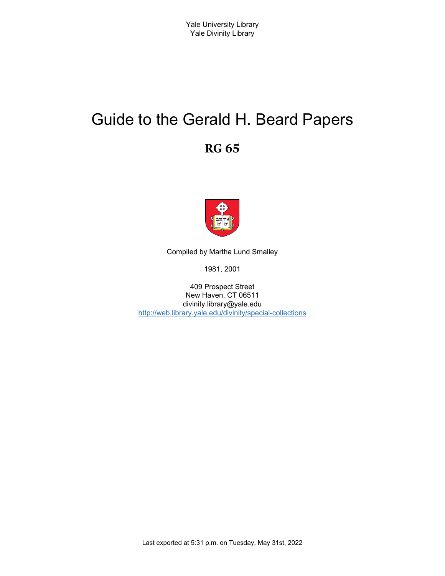# Guide to the Gerald H. Beard Papers

**RG 65**



Compiled by Martha Lund Smalley

1981, 2001

409 Prospect Street New Haven, CT 06511 divinity.library@yale.edu <http://web.library.yale.edu/divinity/special-collections>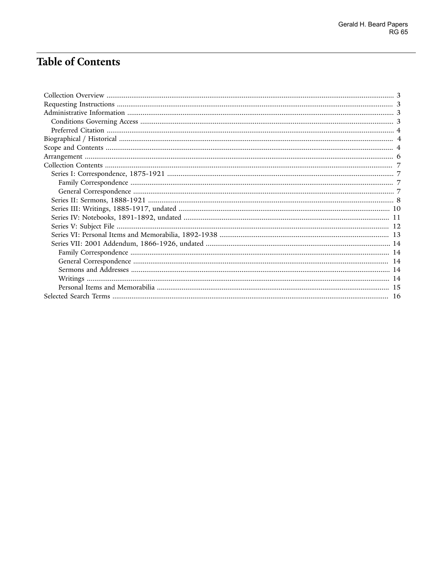# **Table of Contents**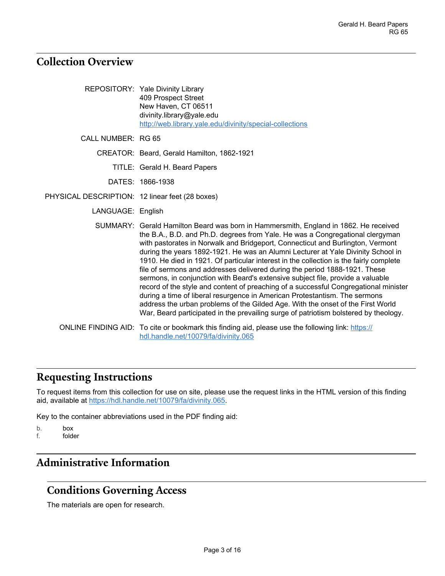## <span id="page-2-0"></span>**Collection Overview**

|                                                 | REPOSITORY: Yale Divinity Library<br>409 Prospect Street<br>New Haven, CT 06511<br>divinity.library@yale.edu<br>http://web.library.yale.edu/divinity/special-collections                                                                                                                                                                                                                                                                                                                                                                                                                                                                                                                                                                                                                                                                                                                                                                                |
|-------------------------------------------------|---------------------------------------------------------------------------------------------------------------------------------------------------------------------------------------------------------------------------------------------------------------------------------------------------------------------------------------------------------------------------------------------------------------------------------------------------------------------------------------------------------------------------------------------------------------------------------------------------------------------------------------------------------------------------------------------------------------------------------------------------------------------------------------------------------------------------------------------------------------------------------------------------------------------------------------------------------|
| CALL NUMBER: RG 65                              |                                                                                                                                                                                                                                                                                                                                                                                                                                                                                                                                                                                                                                                                                                                                                                                                                                                                                                                                                         |
|                                                 | CREATOR: Beard, Gerald Hamilton, 1862-1921                                                                                                                                                                                                                                                                                                                                                                                                                                                                                                                                                                                                                                                                                                                                                                                                                                                                                                              |
|                                                 | TITLE: Gerald H. Beard Papers                                                                                                                                                                                                                                                                                                                                                                                                                                                                                                                                                                                                                                                                                                                                                                                                                                                                                                                           |
|                                                 | DATES: 1866-1938                                                                                                                                                                                                                                                                                                                                                                                                                                                                                                                                                                                                                                                                                                                                                                                                                                                                                                                                        |
| PHYSICAL DESCRIPTION: 12 linear feet (28 boxes) |                                                                                                                                                                                                                                                                                                                                                                                                                                                                                                                                                                                                                                                                                                                                                                                                                                                                                                                                                         |
| LANGUAGE: English                               |                                                                                                                                                                                                                                                                                                                                                                                                                                                                                                                                                                                                                                                                                                                                                                                                                                                                                                                                                         |
|                                                 | SUMMARY: Gerald Hamilton Beard was born in Hammersmith, England in 1862. He received<br>the B.A., B.D. and Ph.D. degrees from Yale. He was a Congregational clergyman<br>with pastorates in Norwalk and Bridgeport, Connecticut and Burlington, Vermont<br>during the years 1892-1921. He was an Alumni Lecturer at Yale Divinity School in<br>1910. He died in 1921. Of particular interest in the collection is the fairly complete<br>file of sermons and addresses delivered during the period 1888-1921. These<br>sermons, in conjunction with Beard's extensive subject file, provide a valuable<br>record of the style and content of preaching of a successful Congregational minister<br>during a time of liberal resurgence in American Protestantism. The sermons<br>address the urban problems of the Gilded Age. With the onset of the First World<br>War, Beard participated in the prevailing surge of patriotism bolstered by theology. |
|                                                 | ONLINE FINDING AID: To cite or bookmark this finding aid, please use the following link: https://<br>hdl.handle.net/10079/fa/divinity.065                                                                                                                                                                                                                                                                                                                                                                                                                                                                                                                                                                                                                                                                                                                                                                                                               |

# <span id="page-2-1"></span>**Requesting Instructions**

To request items from this collection for use on site, please use the request links in the HTML version of this finding aid, available at [https://hdl.handle.net/10079/fa/divinity.065.](https://hdl.handle.net/10079/fa/divinity.065)

Key to the container abbreviations used in the PDF finding aid:

- b. box<br>f. fold
- folder

# <span id="page-2-2"></span>**Administrative Information**

## <span id="page-2-3"></span>**Conditions Governing Access**

The materials are open for research.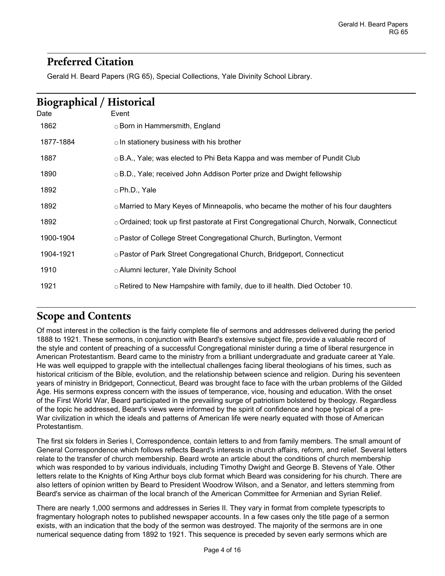## <span id="page-3-0"></span>**Preferred Citation**

Gerald H. Beard Papers (RG 65), Special Collections, Yale Divinity School Library.

<span id="page-3-1"></span>

| <b>Biographical / Historical</b> |                                                                                                |  |  |
|----------------------------------|------------------------------------------------------------------------------------------------|--|--|
| Date                             | Event                                                                                          |  |  |
| 1862                             | ○ Born in Hammersmith, England                                                                 |  |  |
| 1877-1884                        | $\circ$ In stationery business with his brother                                                |  |  |
| 1887                             | ○B.A., Yale; was elected to Phi Beta Kappa and was member of Pundit Club                       |  |  |
| 1890                             | $\circ$ B.D., Yale; received John Addison Porter prize and Dwight fellowship                   |  |  |
| 1892                             | ⊙Ph.D., Yale                                                                                   |  |  |
| 1892                             | $\circ$ Married to Mary Keyes of Minneapolis, who became the mother of his four daughters      |  |  |
| 1892                             | $\circ$ Ordained; took up first pastorate at First Congregational Church, Norwalk, Connecticut |  |  |
| 1900-1904                        | ○ Pastor of College Street Congregational Church, Burlington, Vermont                          |  |  |
| 1904-1921                        | ○ Pastor of Park Street Congregational Church, Bridgeport, Connecticut                         |  |  |
| 1910                             | ○ Alumni lecturer, Yale Divinity School                                                        |  |  |
| 1921                             | $\circ$ Retired to New Hampshire with family, due to ill health. Died October 10.              |  |  |

## <span id="page-3-2"></span>**Scope and Contents**

Of most interest in the collection is the fairly complete file of sermons and addresses delivered during the period 1888 to 1921. These sermons, in conjunction with Beard's extensive subject file, provide a valuable record of the style and content of preaching of a successful Congregational minister during a time of liberal resurgence in American Protestantism. Beard came to the ministry from a brilliant undergraduate and graduate career at Yale. He was well equipped to grapple with the intellectual challenges facing liberal theologians of his times, such as historical criticism of the Bible, evolution, and the relationship between science and religion. During his seventeen years of ministry in Bridgeport, Connecticut, Beard was brought face to face with the urban problems of the Gilded Age. His sermons express concern with the issues of temperance, vice, housing and education. With the onset of the First World War, Beard participated in the prevailing surge of patriotism bolstered by theology. Regardless of the topic he addressed, Beard's views were informed by the spirit of confidence and hope typical of a pre-War civilization in which the ideals and patterns of American life were nearly equated with those of American Protestantism.

The first six folders in Series I, Correspondence, contain letters to and from family members. The small amount of General Correspondence which follows reflects Beard's interests in church affairs, reform, and relief. Several letters relate to the transfer of church membership. Beard wrote an article about the conditions of church membership which was responded to by various individuals, including Timothy Dwight and George B. Stevens of Yale. Other letters relate to the Knights of King Arthur boys club format which Beard was considering for his church. There are also letters of opinion written by Beard to President Woodrow Wilson, and a Senator, and letters stemming from Beard's service as chairman of the local branch of the American Committee for Armenian and Syrian Relief.

There are nearly 1,000 sermons and addresses in Series II. They vary in format from complete typescripts to fragmentary holograph notes to published newspaper accounts. In a few cases only the title page of a sermon exists, with an indication that the body of the sermon was destroyed. The majority of the sermons are in one numerical sequence dating from 1892 to 1921. This sequence is preceded by seven early sermons which are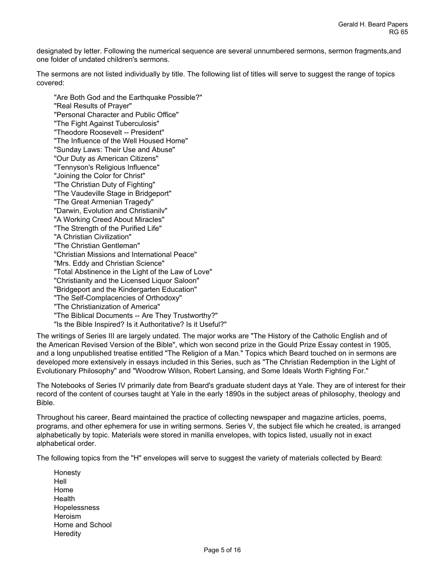designated by letter. Following the numerical sequence are several unnumbered sermons, sermon fragments,and one folder of undated children's sermons.

The sermons are not listed individually by title. The following list of titles will serve to suggest the range of topics covered:

"Are Both God and the Earthquake Possible?" "Real Results of Prayer" "Personal Character and Public Office" "The Fight Against Tuberculosis" "Theodore Roosevelt -- President" "The Influence of the Well Housed Home" "Sunday Laws: Their Use and Abuse" "Our Duty as American Citizens" "Tennyson's Religious Influence" "Joining the Color for Christ" "The Christian Duty of Fighting" "The Vaudeville Stage in Bridgeport" "The Great Armenian Tragedy" "Darwin, Evolution and Christianilv" "A Working Creed About Miracles" "The Strength of the Purified Life" "A Christian Civilization" "The Christian Gentleman" "Christian Missions and International Peace" "Mrs. Eddy and Christian Science" "Total Abstinence in the Light of the Law of Love" "Christianity and the Licensed Liquor Saloon" "Bridgeport and the Kindergarten Education" "The Self-Complacencies of Orthodoxy" "The Christianization of America" "The Biblical Documents -- Are They Trustworthy?" "Is the Bible Inspired? Is it Authoritative? Is it Useful?"

The writings of Series III are largely undated. The major works are "The History of the Catholic English and of the American Revised Version of the Bible", which won second prize in the Gould Prize Essay contest in 1905, and a long unpublished treatise entitled "The Religion of a Man." Topics which Beard touched on in sermons are developed more extensively in essays included in this Series, such as "The Christian Redemption in the Light of Evolutionary Philosophy" and "Woodrow Wilson, Robert Lansing, and Some Ideals Worth Fighting For."

The Notebooks of Series IV primarily date from Beard's graduate student days at Yale. They are of interest for their record of the content of courses taught at Yale in the early 1890s in the subject areas of philosophy, theology and Bible.

Throughout his career, Beard maintained the practice of collecting newspaper and magazine articles, poems, programs, and other ephemera for use in writing sermons. Series V, the subject file which he created, is arranged alphabetically by topic. Materials were stored in manilla envelopes, with topics listed, usually not in exact alphabetical order.

The following topics from the "H" envelopes will serve to suggest the variety of materials collected by Beard:

Honesty Hell Home **Health** Hopelessness Heroism Home and School **Heredity**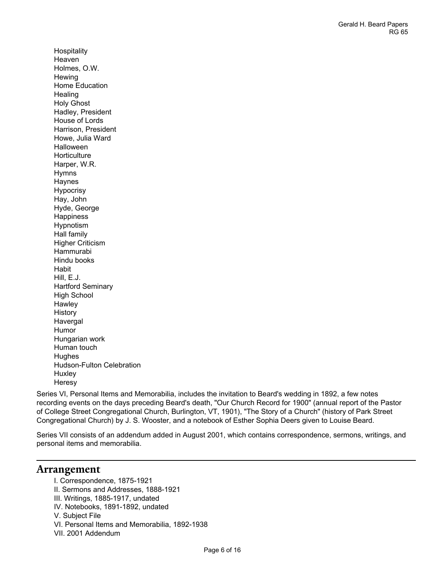**Hospitality** Heaven Holmes, O.W. **Hewing** Home Education **Healing** Holy Ghost Hadley, President House of Lords Harrison, President Howe, Julia Ward Halloween **Horticulture** Harper, W.R. Hymns Haynes Hypocrisy Hay, John Hyde, George Happiness Hypnotism Hall family Higher Criticism Hammurabi Hindu books **Habit** Hill, E.J. Hartford Seminary High School **Hawley** History Havergal Humor Hungarian work Human touch Hughes Hudson-Fulton Celebration Huxley Heresy

Series VI, Personal Items and Memorabilia, includes the invitation to Beard's wedding in 1892, a few notes recording events on the days preceding Beard's death, "Our Church Record for 1900" (annual report of the Pastor of College Street Congregational Church, Burlington, VT, 1901), "The Story of a Church" (history of Park Street Congregational Church) by J. S. Wooster, and a notebook of Esther Sophia Deers given to Louise Beard.

Series VII consists of an addendum added in August 2001, which contains correspondence, sermons, writings, and personal items and memorabilia.

#### <span id="page-5-0"></span>**Arrangement**

I. Correspondence, 1875-1921 II. Sermons and Addresses, 1888-1921 III. Writings, 1885-1917, undated IV. Notebooks, 1891-1892, undated V. Subject File VI. Personal Items and Memorabilia, 1892-1938 VII. 2001 Addendum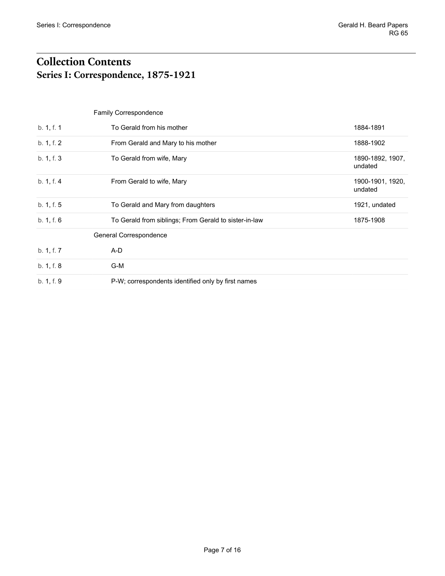## <span id="page-6-1"></span><span id="page-6-0"></span>**Collection Contents Series I: Correspondence, 1875-1921**

# <span id="page-6-3"></span><span id="page-6-2"></span>Family Correspondence b. 1, f. 1 To Gerald from his mother 1884-1891 b. 1, f. 2 From Gerald and Mary to his mother 1888-1902 b. 1, f. 3 To Gerald from wife, Mary 1890-1892, 1907, undated b. 1, f. 4 **From Gerald to wife, Mary 1900-1901, 1920, 1920, 1920, 1920, 1920, 1920, 1920** undated b. 1, f. 5 To Gerald and Mary from daughters 1921, undated 1921, undated b. 1, f. 6 To Gerald from siblings; From Gerald to sister-in-law 1875-1908 General Correspondence b. 1, f. 7 A-D b. 1, f. 8 G-M b. 1, f. 9 P-W; correspondents identified only by first names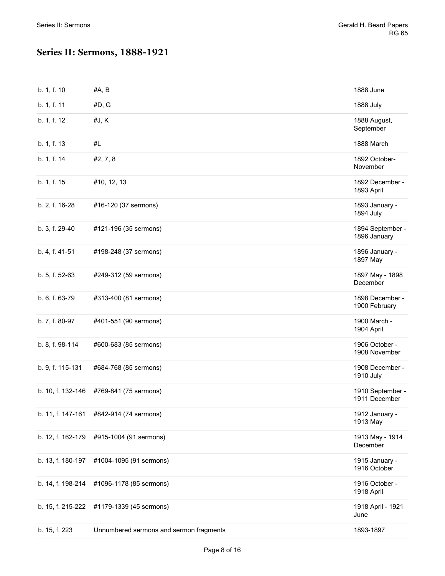## <span id="page-7-0"></span>**Series II: Sermons, 1888-1921**

| b. 1, f. 10       | #A, B                                   | 1888 June                         |
|-------------------|-----------------------------------------|-----------------------------------|
| b. 1, f. 11       | #D, G                                   | 1888 July                         |
| b. 1, f. 12       | #J, K                                   | 1888 August,<br>September         |
| b. 1, f. 13       | #L                                      | 1888 March                        |
| b. 1, f. 14       | #2, 7, 8                                | 1892 October-<br>November         |
| b. 1, f. 15       | #10, 12, 13                             | 1892 December -<br>1893 April     |
| b. 2, f. 16-28    | #16-120 (37 sermons)                    | 1893 January -<br>1894 July       |
| b. 3, f. 29-40    | #121-196 (35 sermons)                   | 1894 September -<br>1896 January  |
| b. 4, f. 41-51    | #198-248 (37 sermons)                   | 1896 January -<br>1897 May        |
| b. 5, f. 52-63    | #249-312 (59 sermons)                   | 1897 May - 1898<br>December       |
| b. 6, f. 63-79    | #313-400 (81 sermons)                   | 1898 December -<br>1900 February  |
| b. 7, f. 80-97    | #401-551 (90 sermons)                   | 1900 March -<br>1904 April        |
| b. 8, f. 98-114   | #600-683 (85 sermons)                   | 1906 October -<br>1908 November   |
| b. 9, f. 115-131  | #684-768 (85 sermons)                   | 1908 December -<br>1910 July      |
| b. 10, f. 132-146 | #769-841 (75 sermons)                   | 1910 September -<br>1911 December |
|                   | b. 11, f. 147-161 #842-914 (74 sermons) | 1912 January -<br>1913 May        |
| b. 12, f. 162-179 | #915-1004 (91 sermons)                  | 1913 May - 1914<br>December       |
| b. 13, f. 180-197 | #1004-1095 (91 sermons)                 | 1915 January -<br>1916 October    |
| b. 14, f. 198-214 | #1096-1178 (85 sermons)                 | 1916 October -<br>1918 April      |
| b. 15, f. 215-222 | #1179-1339 (45 sermons)                 | 1918 April - 1921<br>June         |
| b. 15, f. 223     | Unnumbered sermons and sermon fragments | 1893-1897                         |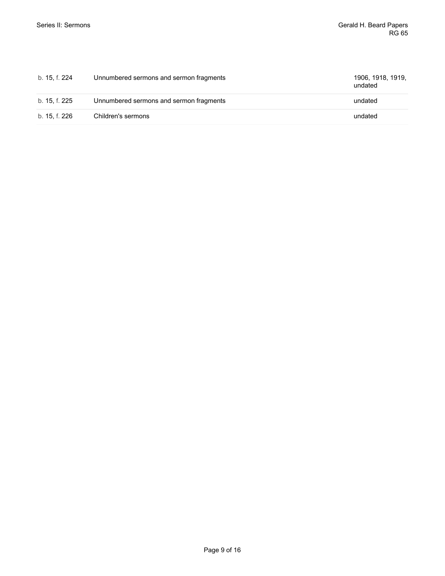| b. 15, f. 224 | Unnumbered sermons and sermon fragments | 1906, 1918, 1919,<br>undated |
|---------------|-----------------------------------------|------------------------------|
| b. 15, f. 225 | Unnumbered sermons and sermon fragments | undated                      |
| b. 15, f. 226 | Children's sermons                      | undated                      |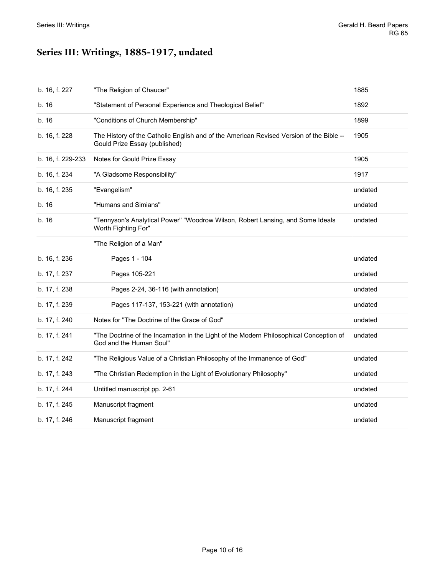# <span id="page-9-0"></span>**Series III: Writings, 1885-1917, undated**

| b. 16, f. 227     | "The Religion of Chaucer"                                                                                                | 1885    |
|-------------------|--------------------------------------------------------------------------------------------------------------------------|---------|
| b. 16             | "Statement of Personal Experience and Theological Belief"                                                                | 1892    |
| b. 16             | "Conditions of Church Membership"                                                                                        | 1899    |
| b. 16, f. 228     | The History of the Catholic English and of the American Revised Version of the Bible --<br>Gould Prize Essay (published) | 1905    |
| b. 16, f. 229-233 | Notes for Gould Prize Essay                                                                                              | 1905    |
| b. 16, f. 234     | "A Gladsome Responsibility"                                                                                              | 1917    |
| b. 16, f. 235     | "Evangelism"                                                                                                             | undated |
| b. 16             | "Humans and Simians"                                                                                                     | undated |
| b. 16             | "Tennyson's Analytical Power" "Woodrow Wilson, Robert Lansing, and Some Ideals<br>Worth Fighting For"                    | undated |
|                   | "The Religion of a Man"                                                                                                  |         |
| b. 16, f. 236     | Pages 1 - 104                                                                                                            | undated |
| b. 17, f. 237     | Pages 105-221                                                                                                            | undated |
| b. 17, f. 238     | Pages 2-24, 36-116 (with annotation)                                                                                     | undated |
| b. 17, f. 239     | Pages 117-137, 153-221 (with annotation)                                                                                 | undated |
| b. 17, f. 240     | Notes for "The Doctrine of the Grace of God"                                                                             | undated |
| b. 17, f. 241     | "The Doctrine of the Incarnation in the Light of the Modern Philosophical Conception of<br>God and the Human Soul"       | undated |
| b. 17, f. 242     | "The Religious Value of a Christian Philosophy of the Immanence of God"                                                  | undated |
| b. 17, f. 243     | "The Christian Redemption in the Light of Evolutionary Philosophy"                                                       | undated |
| b. 17, f. 244     | Untitled manuscript pp. 2-61                                                                                             | undated |
| b. 17, f. 245     | Manuscript fragment                                                                                                      | undated |
| b. 17, f. 246     | Manuscript fragment                                                                                                      | undated |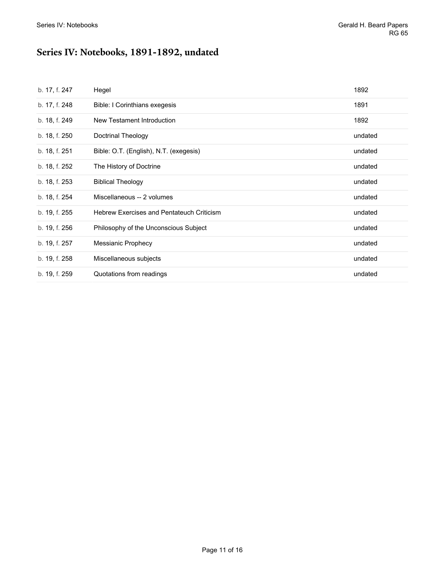# <span id="page-10-0"></span>**Series IV: Notebooks, 1891-1892, undated**

| b. 17, f. 247 | Hegel                                            | 1892    |
|---------------|--------------------------------------------------|---------|
| b. 17, f. 248 | Bible: I Corinthians exegesis                    | 1891    |
| b. 18, f. 249 | New Testament Introduction                       | 1892    |
| b. 18, f. 250 | Doctrinal Theology                               | undated |
| b. 18, f. 251 | Bible: O.T. (English), N.T. (exegesis)           | undated |
| b. 18, f. 252 | The History of Doctrine                          | undated |
| b. 18, f. 253 | <b>Biblical Theology</b>                         | undated |
| b. 18, f. 254 | Miscellaneous -- 2 volumes                       | undated |
| b. 19, f. 255 | <b>Hebrew Exercises and Pentateuch Criticism</b> | undated |
| b. 19, f. 256 | Philosophy of the Unconscious Subject            | undated |
| b. 19, f. 257 | Messianic Prophecy                               | undated |
| b. 19, f. 258 | Miscellaneous subjects                           | undated |
| b. 19, f. 259 | Quotations from readings                         | undated |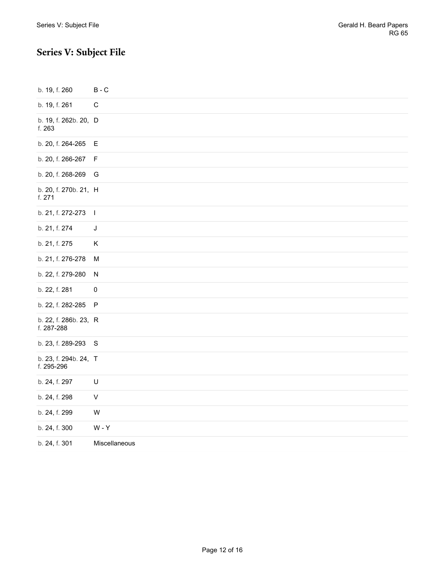# <span id="page-11-0"></span>**Series V: Subject File**

| b. 19, f. 260                       | $B - C$                     |
|-------------------------------------|-----------------------------|
| b. 19, f. 261                       | $\mathsf C$                 |
| b. 19, f. 262b. 20, D<br>f. 263     |                             |
| b. 20, f. 264-265                   | Е                           |
| b. 20, f. 266-267                   | F                           |
| b. 20, f. 268-269                   | G                           |
| b. 20, f. 270b. 21, H<br>f. 271     |                             |
| b. 21, f. 272-273                   | $\overline{\phantom{a}}$    |
| b. 21, f. 274                       | J                           |
| b. 21, f. 275                       | Κ                           |
| b. 21, f. 276-278                   | M                           |
| b. 22, f. 279-280                   | N                           |
| b. 22, f. 281                       | $\pmb{0}$                   |
| b. 22, f. 282-285                   | $\sf P$                     |
| b. 22, f. 286b. 23, R<br>f. 287-288 |                             |
| b. 23, f. 289-293                   | $\mathsf S$                 |
| b. 23, f. 294b. 24, T<br>f. 295-296 |                             |
| b. 24, f. 297                       | U                           |
| b. 24, f. 298                       | $\sf V$                     |
| b. 24, f. 299                       | W                           |
| b. 24, f. 300                       | $\mathsf{W}$ - $\mathsf{Y}$ |
| b. 24, f. 301                       | Miscellaneous               |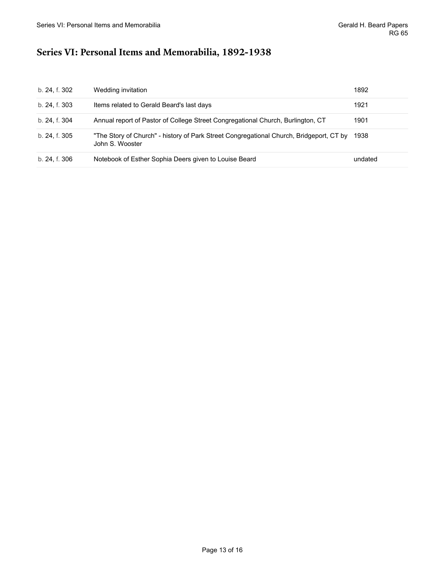## <span id="page-12-0"></span>**Series VI: Personal Items and Memorabilia, 1892-1938**

| b. 24, f. 302 | Wedding invitation                                                                                         | 1892    |
|---------------|------------------------------------------------------------------------------------------------------------|---------|
| b. 24. f. 303 | Items related to Gerald Beard's last days                                                                  | 1921    |
| b. 24, f. 304 | Annual report of Pastor of College Street Congregational Church, Burlington, CT                            | 1901    |
| b. 24, f. 305 | "The Story of Church" - history of Park Street Congregational Church, Bridgeport, CT by<br>John S. Wooster | 1938    |
| b. 24, f. 306 | Notebook of Esther Sophia Deers given to Louise Beard                                                      | undated |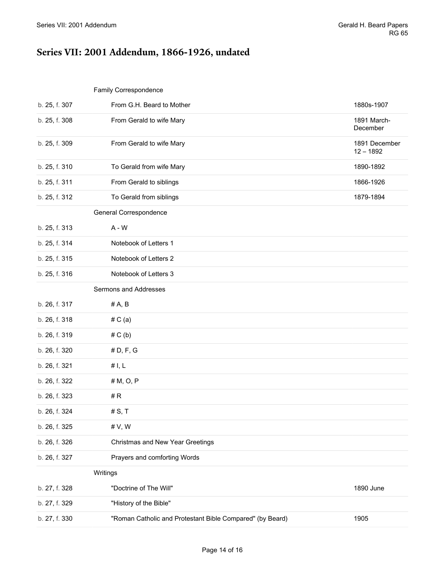# <span id="page-13-0"></span>**Series VII: 2001 Addendum, 1866-1926, undated**

#### <span id="page-13-2"></span><span id="page-13-1"></span>Family Correspondence

<span id="page-13-4"></span><span id="page-13-3"></span>

| b. 25, f. 307 | From G.H. Beard to Mother                                 | 1880s-1907                   |
|---------------|-----------------------------------------------------------|------------------------------|
| b. 25, f. 308 | From Gerald to wife Mary                                  | 1891 March-<br>December      |
| b. 25, f. 309 | From Gerald to wife Mary                                  | 1891 December<br>$12 - 1892$ |
| b. 25, f. 310 | To Gerald from wife Mary                                  | 1890-1892                    |
| b. 25, f. 311 | From Gerald to siblings                                   | 1866-1926                    |
| b. 25, f. 312 | To Gerald from siblings                                   | 1879-1894                    |
|               | General Correspondence                                    |                              |
| b. 25, f. 313 | $A - W$                                                   |                              |
| b. 25, f. 314 | Notebook of Letters 1                                     |                              |
| b. 25, f. 315 | Notebook of Letters 2                                     |                              |
| b. 25, f. 316 | Notebook of Letters 3                                     |                              |
|               | Sermons and Addresses                                     |                              |
| b. 26, f. 317 | #A, B                                                     |                              |
| b. 26, f. 318 | #C(a)                                                     |                              |
| b. 26, f. 319 | # C(b)                                                    |                              |
| b. 26, f. 320 | # D, F, G                                                 |                              |
| b. 26, f. 321 | #I, L                                                     |                              |
| b. 26, f. 322 | # M, O, P                                                 |                              |
| b. 26, f. 323 | #R                                                        |                              |
| b. 26, f. 324 | # S, T                                                    |                              |
| b. 26, f. 325 | # V, W                                                    |                              |
| b. 26, f. 326 | Christmas and New Year Greetings                          |                              |
| b. 26, f. 327 | Prayers and comforting Words                              |                              |
|               | Writings                                                  |                              |
| b. 27, f. 328 | "Doctrine of The Will"                                    | 1890 June                    |
| b. 27, f. 329 | "History of the Bible"                                    |                              |
| b. 27, f. 330 | "Roman Catholic and Protestant Bible Compared" (by Beard) | 1905                         |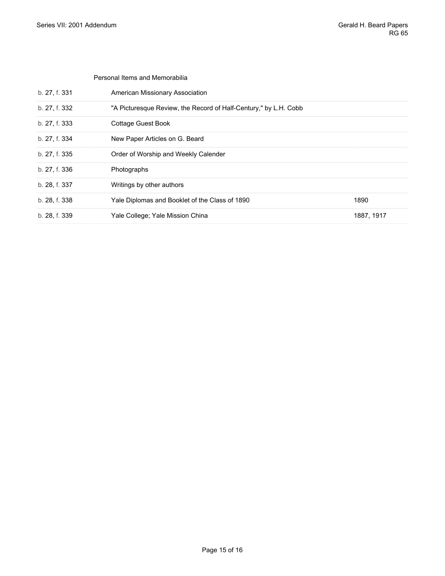<span id="page-14-0"></span>

|               | Personal Items and Memorabilia                                   |            |
|---------------|------------------------------------------------------------------|------------|
| b. 27, f. 331 | American Missionary Association                                  |            |
| b. 27, f. 332 | "A Picturesque Review, the Record of Half-Century," by L.H. Cobb |            |
| b. 27, f. 333 | Cottage Guest Book                                               |            |
| b. 27, f. 334 | New Paper Articles on G. Beard                                   |            |
| b. 27, f. 335 | Order of Worship and Weekly Calender                             |            |
| b. 27, f. 336 | Photographs                                                      |            |
| b. 28, f. 337 | Writings by other authors                                        |            |
| b. 28, f. 338 | Yale Diplomas and Booklet of the Class of 1890                   | 1890       |
| b. 28, f. 339 | Yale College; Yale Mission China                                 | 1887, 1917 |